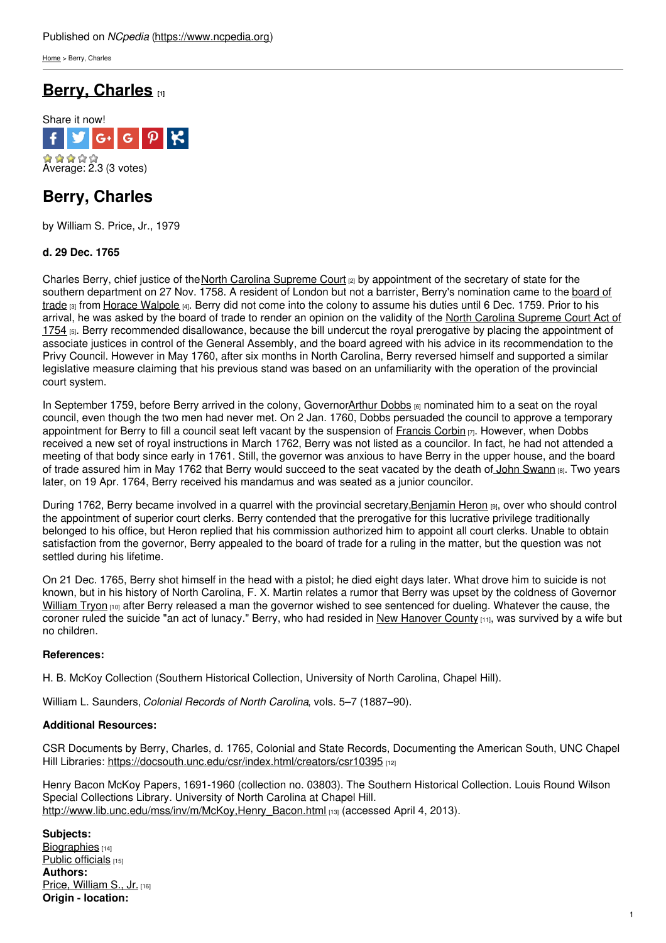[Home](https://www.ncpedia.org/) > Berry, Charles

## **Berry, [Charles](https://www.ncpedia.org/biography/berry-charles) [1]**



# **Berry, Charles**

by William S. Price, Jr., 1979

### **d. 29 Dec. 1765**

Charles Berry, chief justice of the North Carolina [Supreme](https://www.ncpedia.org/supreme-court-north-carolina) Court <sub>[2]</sub> by appointment of the secretary of state for the southern [department](https://www.ncpedia.org/board-trade) on 27 Nov. 1758. A [resident](http://www.social9.com) of London but not a barrister, Berry's nomination came to the board of trade [3] from Horace [Walpole](http://www.britannica.com/EBchecked/topic/634999/Horace-Walpole-4th-earl-of-Orford) [4]. Berry did not come into the colony to assume his duties until 6 Dec. 1759. Prior to his arrival, he was asked by the board of trade to render an opinion on the validity of the North Carolina Supreme Court Act of 1754 [5]. Berry [recommended](https://docsouth.unc.edu/csr/index.html/document/csr23-0029) disallowance, because the bill undercut the royal prerogative by placing the appointment of associate justices in control of the General Assembly, and the board agreed with his advice in its recommendation to the Privy Council. However in May 1760, after six months in North Carolina, Berry reversed himself and supported a similar legislative measure claiming that his previous stand was based on an unfamiliarity with the operation of the provincial court system.

In September 1759, before Berry arrived in the colony, Governo[rArthur](https://www.ncpedia.org/biography/dobbs-arthur) Dobbs [6] nominated him to a seat on the royal council, even though the two men had never met. On 2 Jan. 1760, Dobbs persuaded the council to approve a temporary appointment for Berry to fill a council seat left vacant by the suspension of [Francis](https://www.ncpedia.org/biography/corbin-francis) Corbin  $\vert r \vert$ . However, when Dobbs received a new set of royal instructions in March 1762, Berry was not listed as a councilor. In fact, he had not attended a meeting of that body since early in 1761. Still, the governor was anxious to have Berry in the upper house, and the board of trade assured him in May 1762 that Berry would succeed to the seat vacated by the death of John [Swann](https://www.ncpedia.org/biography/swan-or-swann-john) [8]. Two years later, on 19 Apr. 1764, Berry received his mandamus and was seated as a junior councilor.

During 1762, Berry became involved in a quarrel with the provincial secretary, Benjamin Heron [9], over who should control the appointment of superior court clerks. Berry contended that the prerogative for this lucrative privilege traditionally belonged to his office, but Heron replied that his commission authorized him to appoint all court clerks. Unable to obtain satisfaction from the governor, Berry appealed to the board of trade for a ruling in the matter, but the question was not settled during his lifetime.

On 21 Dec. 1765, Berry shot himself in the head with a pistol; he died eight days later. What drove him to suicide is not known, but in his history of North Carolina, F. X. Martin relates a rumor that Berry was upset by the coldness of Governor [William](https://www.ncpedia.org/biography/tryon-william) Tryon [10] after Berry released a man the governor wished to see sentenced for dueling. Whatever the cause, the coroner ruled the suicide "an act of lunacy." Berry, who had resided in New [Hanover](https://www.ncpedia.org/geography/new-hanover) County  $[11]$ , was survived by a wife but no children.

### **References:**

H. B. McKoy Collection (Southern Historical Collection, University of North Carolina, Chapel Hill).

William L. Saunders, *Colonial Records of North Carolina*, vols. 5–7 (1887–90).

### **Additional Resources:**

CSR Documents by Berry, Charles, d. 1765, Colonial and State Records, Documenting the American South, UNC Chapel Hill Libraries: <https://docsouth.unc.edu/csr/index.html/creators/csr10395> [12]

Henry Bacon McKoy Papers, 1691-1960 (collection no. 03803). The Southern Historical Collection. Louis Round Wilson Special Collections Library. University of North Carolina at Chapel Hill. [http://www.lib.unc.edu/mss/inv/m/McKoy,Henry\\_Bacon.html](http://www.lib.unc.edu/mss/inv/m/McKoy,Henry_Bacon.html) [13] (accessed April 4, 2013).

**Subjects:** [Biographies](https://www.ncpedia.org/category/subjects/biography-term) [14] Public [officials](https://www.ncpedia.org/category/subjects/public-officials) [15] **Authors:** Price, [William](https://www.ncpedia.org/category/authors/price-jr-william-s) S., Jr. [16] **Origin - location:**